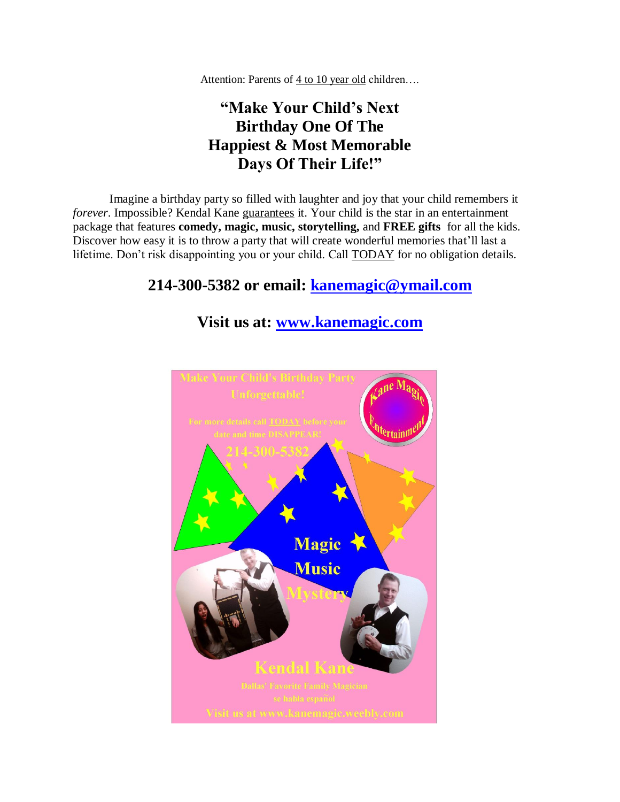Attention: Parents of 4 to 10 year old children….

## **"Make Your Child's Next Birthday One Of The Happiest & Most Memorable Days Of Their Life!"**

Imagine a birthday party so filled with laughter and joy that your child remembers it *forever*. Impossible? Kendal Kane guarantees it. Your child is the star in an entertainment package that features **comedy, magic, music, storytelling,** and **FREE gifts** for all the kids. Discover how easy it is to throw a party that will create wonderful memories that'll last a lifetime. Don't risk disappointing you or your child. Call TODAY for no obligation details.

## **214-300-5382 or email: [kanemagic@ymail.com](mailto:kanemagic@ymail.com)**

## **Visit us at: [www.kanemagic.com](http://www.kanemagic.weebly.com/)**